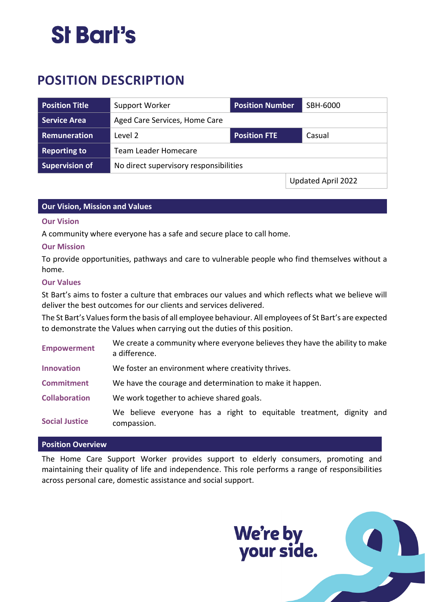# St Bart's

# **POSITION DESCRIPTION**

| <b>Position Title</b> | Support Worker                         | <b>Position Number</b> | SBH-6000           |
|-----------------------|----------------------------------------|------------------------|--------------------|
| <b>Service Area</b>   | Aged Care Services, Home Care          |                        |                    |
| Remuneration          | Level 2                                | <b>Position FTE</b>    | Casual             |
| <b>Reporting to</b>   | <b>Team Leader Homecare</b>            |                        |                    |
| <b>Supervision of</b> | No direct supervisory responsibilities |                        |                    |
|                       |                                        |                        | Updated April 2022 |

# **Our Vision, Mission and Values**

#### **Our Vision**

A community where everyone has a safe and secure place to call home.

#### **Our Mission**

To provide opportunities, pathways and care to vulnerable people who find themselves without a home.

#### **Our Values**

St Bart's aims to foster a culture that embraces our values and which reflects what we believe will deliver the best outcomes for our clients and services delivered.

The St Bart's Values form the basis of all employee behaviour. All employees of St Bart's are expected to demonstrate the Values when carrying out the duties of this position.

| <b>Empowerment</b>    | We create a community where everyone believes they have the ability to make<br>a difference. |  |  |
|-----------------------|----------------------------------------------------------------------------------------------|--|--|
| <b>Innovation</b>     | We foster an environment where creativity thrives.                                           |  |  |
| <b>Commitment</b>     | We have the courage and determination to make it happen.                                     |  |  |
| <b>Collaboration</b>  | We work together to achieve shared goals.                                                    |  |  |
| <b>Social Justice</b> | We believe everyone has a right to equitable treatment, dignity and<br>compassion.           |  |  |

### **Position Overview**

The Home Care Support Worker provides support to elderly consumers, promoting and maintaining their quality of life and independence. This role performs a range of responsibilities across personal care, domestic assistance and social support.

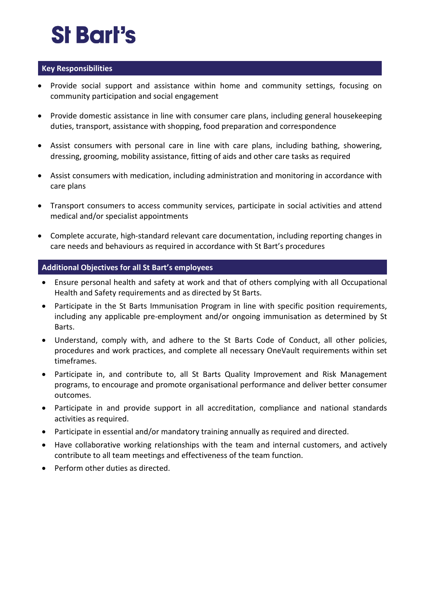# **St Bart's**

# **Key Responsibilities**

- Provide social support and assistance within home and community settings, focusing on community participation and social engagement
- Provide domestic assistance in line with consumer care plans, including general housekeeping duties, transport, assistance with shopping, food preparation and correspondence
- Assist consumers with personal care in line with care plans, including bathing, showering, dressing, grooming, mobility assistance, fitting of aids and other care tasks as required
- Assist consumers with medication, including administration and monitoring in accordance with care plans
- Transport consumers to access community services, participate in social activities and attend medical and/or specialist appointments
- Complete accurate, high-standard relevant care documentation, including reporting changes in care needs and behaviours as required in accordance with St Bart's procedures

# **Additional Objectives for all St Bart's employees**

- Ensure personal health and safety at work and that of others complying with all Occupational Health and Safety requirements and as directed by St Barts.
- Participate in the St Barts Immunisation Program in line with specific position requirements, including any applicable pre-employment and/or ongoing immunisation as determined by St Barts.
- Understand, comply with, and adhere to the St Barts Code of Conduct, all other policies, procedures and work practices, and complete all necessary OneVault requirements within set timeframes.
- Participate in, and contribute to, all St Barts Quality Improvement and Risk Management programs, to encourage and promote organisational performance and deliver better consumer outcomes.
- Participate in and provide support in all accreditation, compliance and national standards activities as required.
- Participate in essential and/or mandatory training annually as required and directed.
- Have collaborative working relationships with the team and internal customers, and actively contribute to all team meetings and effectiveness of the team function.
- Perform other duties as directed.